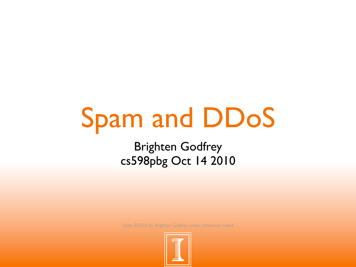# Spam and DDoS

Brighten Godfrey cs598pbg Oct 14 2010

slides ©2010 by Brighten Godfrey unless otherwise noted

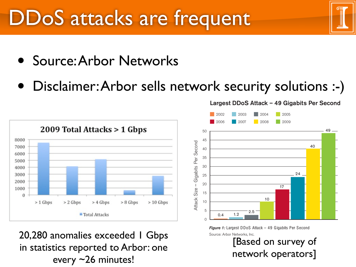#### DDoS attacks are frequent intended to serve as a general resource for the Internet operations and engineering community, recording information on trends Operational network security issues—the day-to-day aspects of security in commercial networks—are the primary focus of survey respondents. As such, the results provided in this survey more accurately represent real-world concerns than theoretical and

- Source: Arbor Networks DDoS Bandwidth Growth Slows: Over the last six years, service providers reported a near doubling in peak distributed denial of service (DDoS) attack rates year-to-year. Figure 1 illustrates that peak attack rates grew from 400 Mbps in 2002 to 40 Gbps
- Disclaimer: Arbor sells network security solutions :-) constraints and a migration to other more effective denial of service attack vectors.

emerging attack vectors addressed and speculated about elsewhere.



20,280 anomalies exceeded 1 Gbps Source: Arbor Networks, Inc. in statistics reported to Arbor: one every ~26 minutes!



*Figure 1:* Largest DDoS Attack – 49 Gigabits Per Second [Based on survey of

onc<br>and the surveyed providers reports reported providers reported at the surveyed providers reported at the service of the service-level at the survey of the survey of the service-level at the service-level at the service

#### Largest DDoS Attack – 49 Gigabits Per Second

the use of network security technology to protect mission-critical Internet and other IP-based infrastructures. The survey is also infrastructures. The survey is also infrastructures. The survey is also infrastructures. Th